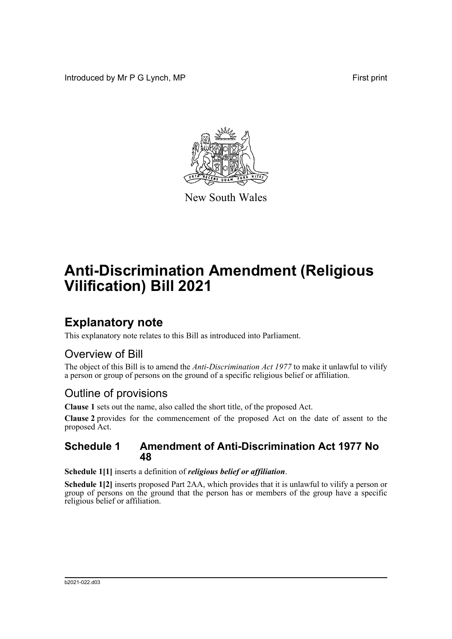Introduced by Mr P G Lynch, MP First print



New South Wales

# **Anti-Discrimination Amendment (Religious Vilification) Bill 2021**

# **Explanatory note**

This explanatory note relates to this Bill as introduced into Parliament.

## Overview of Bill

The object of this Bill is to amend the *Anti-Discrimination Act 1977* to make it unlawful to vilify a person or group of persons on the ground of a specific religious belief or affiliation.

## Outline of provisions

**Clause 1** sets out the name, also called the short title, of the proposed Act.

**Clause 2** provides for the commencement of the proposed Act on the date of assent to the proposed Act.

#### **Schedule 1 Amendment of Anti-Discrimination Act 1977 No 48**

**Schedule 1[1]** inserts a definition of *religious belief or affiliation*.

**Schedule 1[2]** inserts proposed Part 2AA, which provides that it is unlawful to vilify a person or group of persons on the ground that the person has or members of the group have a specific religious belief or affiliation.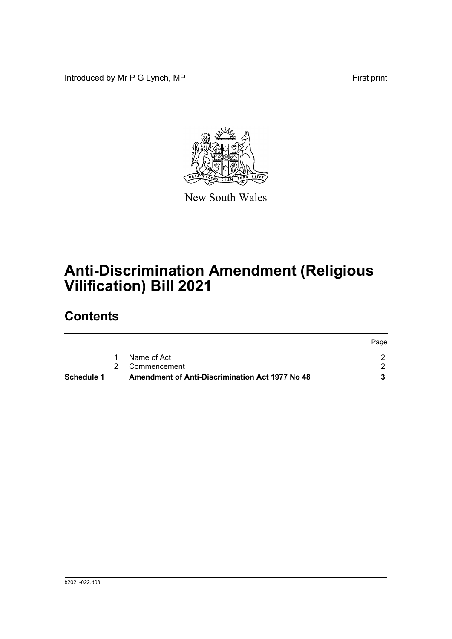Introduced by Mr P G Lynch, MP First print



New South Wales

# **Anti-Discrimination Amendment (Religious Vilification) Bill 2021**

# **Contents**

|            |                                                        | Page |
|------------|--------------------------------------------------------|------|
|            | Name of Act                                            |      |
|            | 2 Commencement                                         |      |
| Schedule 1 | <b>Amendment of Anti-Discrimination Act 1977 No 48</b> |      |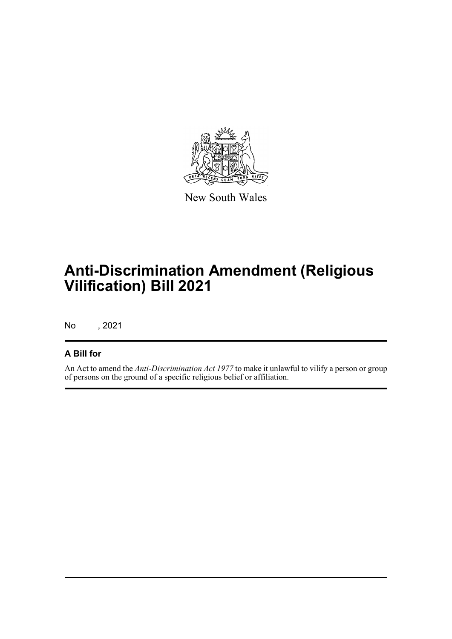

New South Wales

# **Anti-Discrimination Amendment (Religious Vilification) Bill 2021**

No , 2021

#### **A Bill for**

An Act to amend the *Anti-Discrimination Act 1977* to make it unlawful to vilify a person or group of persons on the ground of a specific religious belief or affiliation.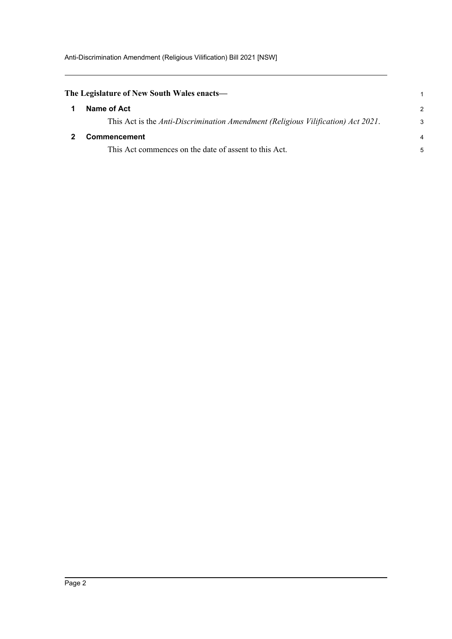<span id="page-3-1"></span><span id="page-3-0"></span>

| The Legislature of New South Wales enacts— |                                                                                  |               |
|--------------------------------------------|----------------------------------------------------------------------------------|---------------|
|                                            | Name of Act                                                                      | $\mathcal{P}$ |
|                                            | This Act is the Anti-Discrimination Amendment (Religious Vilification) Act 2021. | 3             |
|                                            | <b>Commencement</b>                                                              | 4             |
|                                            | This Act commences on the date of assent to this Act.                            | 5             |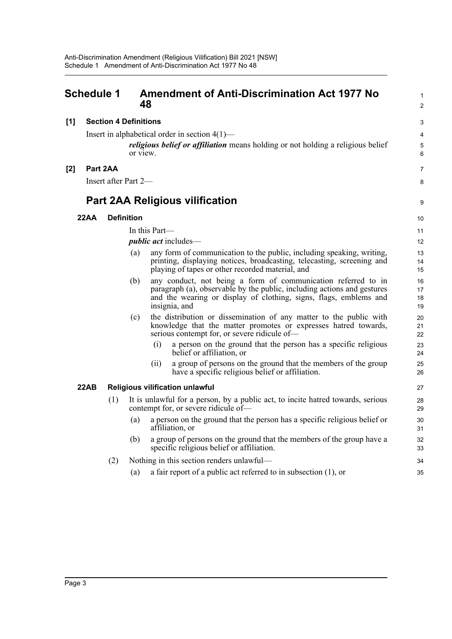#### <span id="page-4-0"></span>**Schedule 1 Amendment of Anti-Discrimination Act 1977 No 48 [1] Section 4 Definitions** Insert in alphabetical order in section 4(1) *religious belief or affiliation* means holding or not holding a religious belief or view. **[2] Part 2AA** Insert after Part 2— **Part 2AA Religious vilification 22AA Definition** In this Part *public act* includes— (a) any form of communication to the public, including speaking, writing, printing, displaying notices, broadcasting, telecasting, screening and playing of tapes or other recorded material, and (b) any conduct, not being a form of communication referred to in paragraph (a), observable by the public, including actions and gestures and the wearing or display of clothing, signs, flags, emblems and insignia, and (c) the distribution or dissemination of any matter to the public with knowledge that the matter promotes or expresses hatred towards, serious contempt for, or severe ridicule of— (i) a person on the ground that the person has a specific religious belief or affiliation, or (ii) a group of persons on the ground that the members of the group have a specific religious belief or affiliation. **22AB Religious vilification unlawful** (1) It is unlawful for a person, by a public act, to incite hatred towards, serious contempt for, or severe ridicule of— (a) a person on the ground that the person has a specific religious belief or affiliation, or (b) a group of persons on the ground that the members of the group have a specific religious belief or affiliation. (2) Nothing in this section renders unlawful— 1  $\overline{2}$ 3 4 5 6 7 8 9 10 11 12 13 14 15 16 17 18 19  $20$ 21 22 23 24 25 26 27 28 29 30 31 32 33 34

(a) a fair report of a public act referred to in subsection (1), or

35